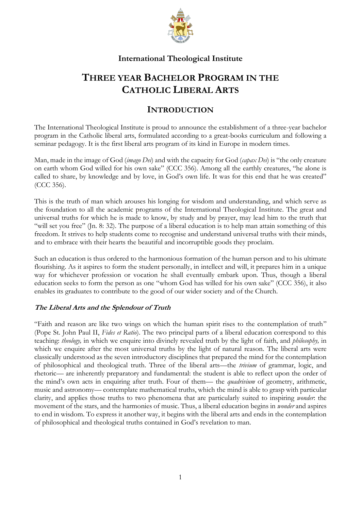

### **International Theological Institute**

# **THREE YEAR BACHELOR PROGRAM IN THE CATHOLIC LIBERAL ARTS**

## **INTRODUCTION**

The International Theological Institute is proud to announce the establishment of a three-year bachelor program in the Catholic liberal arts, formulated according to a great-books curriculum and following a seminar pedagogy. It is the first liberal arts program of its kind in Europe in modern times.

Man, made in the image of God (*imago Dei*) and with the capacity for God (*capax Dei*) is "the only creature on earth whom God willed for his own sake" (CCC 356). Among all the earthly creatures, "he alone is called to share, by knowledge and by love, in God's own life. It was for this end that he was created" (CCC 356).

This is the truth of man which arouses his longing for wisdom and understanding, and which serve as the foundation to all the academic programs of the International Theological Institute. The great and universal truths for which he is made to know, by study and by prayer, may lead him to the truth that "will set you free" (Jn. 8: 32). The purpose of a liberal education is to help man attain something of this freedom. It strives to help students come to recognise and understand universal truths with their minds, and to embrace with their hearts the beautiful and incorruptible goods they proclaim.

Such an education is thus ordered to the harmonious formation of the human person and to his ultimate flourishing. As it aspires to form the student personally, in intellect and will, it prepares him in a unique way for whichever profession or vocation he shall eventually embark upon. Thus, though a liberal education seeks to form the person as one "whom God has willed for his own sake" (CCC 356), it also enables its graduates to contribute to the good of our wider society and of the Church.

#### **The Liberal Arts and the Splendour of Truth**

"Faith and reason are like two wings on which the human spirit rises to the contemplation of truth" (Pope St. John Paul II, *Fides et Ratio*). The two principal parts of a liberal education correspond to this teaching: *theology,* in which we enquire into divinely revealed truth by the light of faith, and *philosophy,* in which we enquire after the most universal truths by the light of natural reason. The liberal arts were classically understood as the seven introductory disciplines that prepared the mind for the contemplation of philosophical and theological truth. Three of the liberal arts—the *trivium* of grammar, logic, and rhetoric— are inherently preparatory and fundamental: the student is able to reflect upon the order of the mind's own acts in enquiring after truth. Four of them— the *quadrivium* of geometry, arithmetic, music and astronomy— contemplate mathematical truths, which the mind is able to grasp with particular clarity, and applies those truths to two phenomena that are particularly suited to inspiring *wonder*: the movement of the stars, and the harmonies of music. Thus, a liberal education begins in *wonder* and aspires to end in wisdom. To express it another way, it begins with the liberal arts and ends in the contemplation of philosophical and theological truths contained in God's revelation to man.